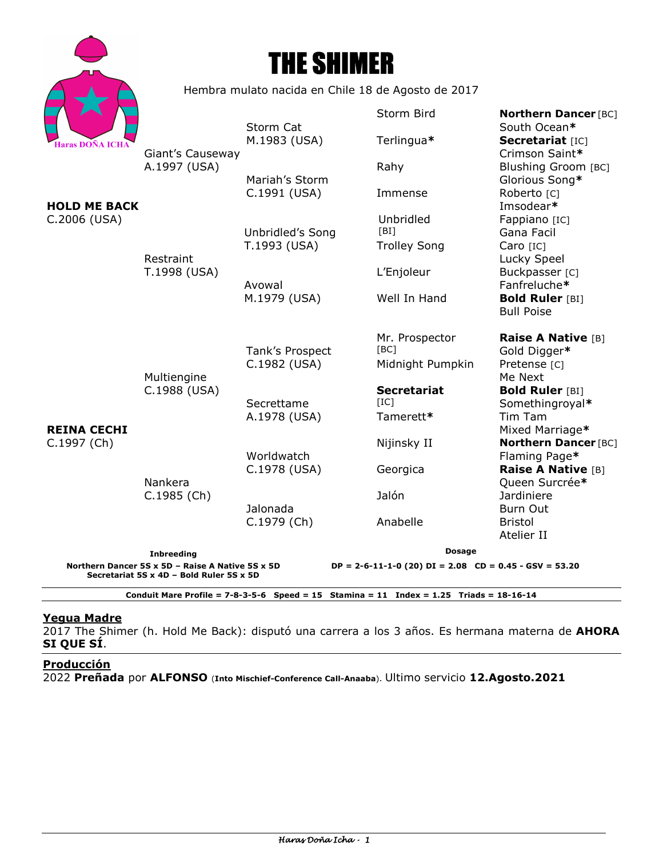



Hembra mulato nacida en Chile 18 de Agosto de 2017

|                                                                                                                  |                                                         |                                 | Storm Bird          | <b>Northern Dancer [BC]</b>                  |
|------------------------------------------------------------------------------------------------------------------|---------------------------------------------------------|---------------------------------|---------------------|----------------------------------------------|
| <b>Haras DOÑA ICHA</b>                                                                                           | Giant's Causeway<br>A.1997 (USA)                        | Storm Cat                       |                     | South Ocean*                                 |
|                                                                                                                  |                                                         | M.1983 (USA)                    | Terlingua*          | Secretariat [IC]                             |
| <b>HOLD ME BACK</b><br>C.2006 (USA)                                                                              |                                                         |                                 |                     | Crimson Saint*                               |
|                                                                                                                  |                                                         |                                 | Rahy                | Blushing Groom [BC]                          |
|                                                                                                                  |                                                         | Mariah's Storm                  |                     | Glorious Song*                               |
|                                                                                                                  | Restraint<br>T.1998 (USA)                               | C.1991 (USA)                    | Immense             | Roberto <sub>[C]</sub><br>Imsodear*          |
|                                                                                                                  |                                                         |                                 | Unbridled           | Fappiano [IC]                                |
|                                                                                                                  |                                                         | Unbridled's Song                | [BI]                | Gana Facil                                   |
|                                                                                                                  |                                                         | T.1993 (USA)                    | <b>Trolley Song</b> | Caro [IC]                                    |
|                                                                                                                  |                                                         |                                 |                     | Lucky Speel                                  |
|                                                                                                                  |                                                         |                                 | L'Enjoleur          | Buckpasser [C]                               |
|                                                                                                                  |                                                         | Avowal                          |                     | Fanfreluche*                                 |
|                                                                                                                  |                                                         | M.1979 (USA)                    | Well In Hand        | <b>Bold Ruler [BI]</b>                       |
| <b>REINA CECHI</b><br>C.1997 (Ch)                                                                                | Multiengine<br>C.1988 (USA)<br>Nankera<br>$C.1985$ (Ch) |                                 |                     | <b>Bull Poise</b>                            |
|                                                                                                                  |                                                         |                                 | Mr. Prospector      | <b>Raise A Native [B]</b>                    |
|                                                                                                                  |                                                         | Tank's Prospect<br>C.1982 (USA) | [BC]                | Gold Digger*                                 |
|                                                                                                                  |                                                         |                                 | Midnight Pumpkin    | Pretense [C]                                 |
|                                                                                                                  |                                                         |                                 |                     | Me Next                                      |
|                                                                                                                  |                                                         |                                 | <b>Secretariat</b>  | <b>Bold Ruler [BI]</b>                       |
|                                                                                                                  |                                                         | Secrettame                      | [IC]                | Somethingroyal*                              |
|                                                                                                                  |                                                         | A.1978 (USA)                    | Tamerett*           | Tim Tam                                      |
|                                                                                                                  |                                                         |                                 |                     | Mixed Marriage*                              |
|                                                                                                                  |                                                         | Worldwatch                      | Nijinsky II         | <b>Northern Dancer [BC]</b><br>Flaming Page* |
|                                                                                                                  |                                                         | C.1978 (USA)                    | Georgica            | Raise A Native [B]                           |
|                                                                                                                  |                                                         |                                 |                     | Queen Surcrée*                               |
|                                                                                                                  |                                                         |                                 | Jalón               | <b>Jardiniere</b>                            |
|                                                                                                                  |                                                         | Jalonada<br>C.1979 (Ch)         |                     | Burn Out                                     |
|                                                                                                                  |                                                         |                                 | Anabelle            | <b>Bristol</b>                               |
|                                                                                                                  |                                                         |                                 |                     | Atelier II                                   |
|                                                                                                                  | <b>Inbreeding</b>                                       |                                 | Dosage              |                                              |
| Northern Dancer 5S x 5D - Raise A Native 5S x 5D<br>$DP = 2-6-11-1-0$ (20) $DI = 2.08$ $CD = 0.45 - GSV = 53.20$ |                                                         |                                 |                     |                                              |
| Secretariat 5S x 4D - Bold Ruler 5S x 5D                                                                         |                                                         |                                 |                     |                                              |
| Conduit Mare Profile = $7 - 8 - 3 - 5 - 6$ Speed = 15 Stamina = 11 Index = 1.25 Triads = 18-16-14                |                                                         |                                 |                     |                                              |

# **Yegua Madre**

2017 The Shimer (h. Hold Me Back): disputó una carrera a los 3 años. Es hermana materna de **AHORA SI QUE SÍ**.

# **Producción**

2022 **Preñada** por **ALFONSO** (**Into Mischief-Conference Call-Anaaba**). Ultimo servicio **12.Agosto.2021**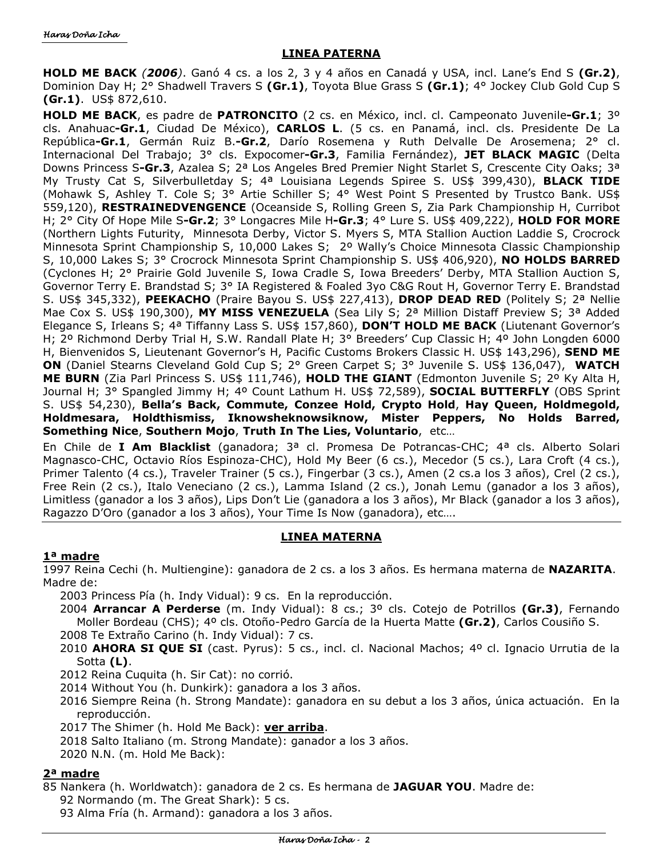### **LINEA PATERNA**

**HOLD ME BACK** *(2006)*. Ganó 4 cs. a los 2, 3 y 4 años en Canadá y USA, incl. Lane's End S **(Gr.2)**, Dominion Day H; 2° Shadwell Travers S **(Gr.1)**, Toyota Blue Grass S **(Gr.1)**; 4° Jockey Club Gold Cup S **(Gr.1)**. US\$ 872,610.

**HOLD ME BACK**, es padre de **PATRONCITO** (2 cs. en México, incl. cl. Campeonato Juvenile**-Gr.1**; 3º cls. Anahuac**-Gr.1**, Ciudad De México), **CARLOS L**. (5 cs. en Panamá, incl. cls. Presidente De La República**-Gr.1**, Germán Ruiz B.**-Gr.2**, Darío Rosemena y Ruth Delvalle De Arosemena; 2° cl. Internacional Del Trabajo; 3° cls. Expocomer**-Gr.3**, Familia Fernández), **JET BLACK MAGIC** (Delta Downs Princess S**-Gr.3**, Azalea S; 2ª Los Angeles Bred Premier Night Starlet S, Crescente City Oaks; 3ª My Trusty Cat S, Silverbulletday S; 4ª Louisiana Legends Spiree S. US\$ 399,430), **BLACK TIDE** (Mohawk S, Ashley T. Cole S; 3° Artie Schiller S; 4° West Point S Presented by Trustco Bank. US\$ 559,120), **RESTRAINEDVENGENCE** (Oceanside S, Rolling Green S, Zia Park Championship H, Curribot H; 2° City Of Hope Mile S**-Gr.2**; 3° Longacres Mile H**-Gr.3**; 4° Lure S. US\$ 409,222), **HOLD FOR MORE** (Northern Lights Futurity, Minnesota Derby, Victor S. Myers S, MTA Stallion Auction Laddie S, Crocrock Minnesota Sprint Championship S, 10,000 Lakes S; 2º Wally's Choice Minnesota Classic Championship S, 10,000 Lakes S; 3° Crocrock Minnesota Sprint Championship S. US\$ 406,920), **NO HOLDS BARRED** (Cyclones H; 2° Prairie Gold Juvenile S, Iowa Cradle S, Iowa Breeders' Derby, MTA Stallion Auction S, Governor Terry E. Brandstad S; 3° IA Registered & Foaled 3yo C&G Rout H, Governor Terry E. Brandstad S. US\$ 345,332), **PEEKACHO** (Praire Bayou S. US\$ 227,413), **DROP DEAD RED** (Politely S; 2ª Nellie Mae Cox S. US\$ 190,300), **MY MISS VENEZUELA** (Sea Lily S; 2ª Million Distaff Preview S; 3ª Added Elegance S, Irleans S; 4ª Tiffanny Lass S. US\$ 157,860), **DON'T HOLD ME BACK** (Liutenant Governor's H; 2º Richmond Derby Trial H, S.W. Randall Plate H; 3° Breeders' Cup Classic H; 4º John Longden 6000 H, Bienvenidos S, Lieutenant Governor's H, Pacific Customs Brokers Classic H. US\$ 143,296), **SEND ME ON** (Daniel Stearns Cleveland Gold Cup S; 2° Green Carpet S; 3° Juvenile S. US\$ 136,047), **WATCH ME BURN** (Zia Parl Princess S. US\$ 111,746), **HOLD THE GIANT** (Edmonton Juvenile S; 2º Ky Alta H, Journal H; 3° Spangled Jimmy H; 4º Count Lathum H. US\$ 72,589), **SOCIAL BUTTERFLY** (OBS Sprint S. US\$ 54,230), **Bella's Back, Commute, Conzee Hold, Crypto Hold**, **Hay Queen, Holdmegold, Holdmesara, Holdthismiss, Iknowsheknowsiknow, Mister Peppers, No Holds Barred, Something Nice**, **Southern Mojo**, **Truth In The Lies, Voluntario**, etc…

En Chile de **I Am Blacklist** (ganadora; 3ª cl. Promesa De Potrancas-CHC; 4ª cls. Alberto Solari Magnasco-CHC, Octavio Ríos Espinoza-CHC), Hold My Beer (6 cs.), Mecedor (5 cs.), Lara Croft (4 cs.), Primer Talento (4 cs.), Traveler Trainer (5 cs.), Fingerbar (3 cs.), Amen (2 cs.a los 3 años), Crel (2 cs.), Free Rein (2 cs.), Italo Veneciano (2 cs.), Lamma Island (2 cs.), Jonah Lemu (ganador a los 3 años), Limitless (ganador a los 3 años), Lips Don't Lie (ganadora a los 3 años), Mr Black (ganador a los 3 años), Ragazzo D'Oro (ganador a los 3 años), Your Time Is Now (ganadora), etc….

# **LINEA MATERNA**

# **1ª madre**

1997 Reina Cechi (h. Multiengine): ganadora de 2 cs. a los 3 años. Es hermana materna de **NAZARITA**. Madre de:

2003 Princess Pía (h. Indy Vidual): 9 cs. En la reproducción.

- 2004 **Arrancar A Perderse** (m. Indy Vidual): 8 cs.; 3º cls. Cotejo de Potrillos **(Gr.3)**, Fernando Moller Bordeau (CHS); 4º cls. Otoño-Pedro García de la Huerta Matte **(Gr.2)**, Carlos Cousiño S. 2008 Te Extraño Carino (h. Indy Vidual): 7 cs.
- 2010 **AHORA SI QUE SI** (cast. Pyrus): 5 cs., incl. cl. Nacional Machos; 4º cl. Ignacio Urrutia de la Sotta **(L)**.
- 2012 Reina Cuquita (h. Sir Cat): no corrió.
- 2014 Without You (h. Dunkirk): ganadora a los 3 años.
- 2016 Siempre Reina (h. Strong Mandate): ganadora en su debut a los 3 años, única actuación. En la reproducción.
- 2017 The Shimer (h. Hold Me Back): **ver arriba**.
- 2018 Salto Italiano (m. Strong Mandate): ganador a los 3 años.
- 2020 N.N. (m. Hold Me Back):

# **2ª madre**

- 85 Nankera (h. Worldwatch): ganadora de 2 cs. Es hermana de **JAGUAR YOU**. Madre de:
	- 92 Normando (m. The Great Shark): 5 cs.
	- 93 Alma Fría (h. Armand): ganadora a los 3 años.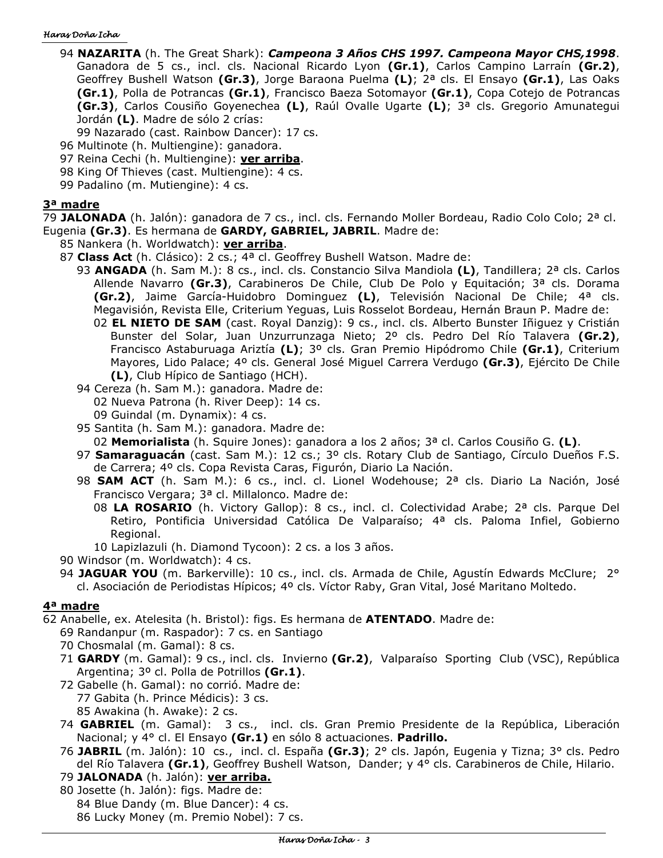#### Haras Doña Icha

- 94 **NAZARITA** (h. The Great Shark): *Campeona 3 Años CHS 1997. Campeona Mayor CHS,1998*. Ganadora de 5 cs., incl. cls. Nacional Ricardo Lyon **(Gr.1)**, Carlos Campino Larraín **(Gr.2)**, Geoffrey Bushell Watson **(Gr.3)**, Jorge Baraona Puelma **(L)**; 2ª cls. El Ensayo **(Gr.1)**, Las Oaks **(Gr.1)**, Polla de Potrancas **(Gr.1)**, Francisco Baeza Sotomayor **(Gr.1)**, Copa Cotejo de Potrancas **(Gr.3)**, Carlos Cousiño Goyenechea **(L)**, Raúl Ovalle Ugarte **(L)**; 3ª cls. Gregorio Amunategui Jordán **(L)**. Madre de sólo 2 crías:
	- 99 Nazarado (cast. Rainbow Dancer): 17 cs.
- 96 Multinote (h. Multiengine): ganadora.
- 97 Reina Cechi (h. Multiengine): **ver arriba**.
- 98 King Of Thieves (cast. Multiengine): 4 cs.
- 99 Padalino (m. Mutiengine): 4 cs.

### **3ª madre**

79 **JALONADA** (h. Jalón): ganadora de 7 cs., incl. cls. Fernando Moller Bordeau, Radio Colo Colo; 2ª cl.

- Eugenia **(Gr.3)**. Es hermana de **GARDY, GABRIEL, JABRIL**. Madre de:
	- 85 Nankera (h. Worldwatch): **ver arriba**.
	- 87 **Class Act** (h. Clásico): 2 cs.; 4ª cl. Geoffrey Bushell Watson. Madre de:
		- 93 **ANGADA** (h. Sam M.): 8 cs., incl. cls. Constancio Silva Mandiola **(L)**, Tandillera; 2ª cls. Carlos Allende Navarro **(Gr.3)**, Carabineros De Chile, Club De Polo y Equitación; 3ª cls. Dorama **(Gr.2)**, Jaime García-Huidobro Dominguez **(L)**, Televisión Nacional De Chile; 4ª cls. Megavisión, Revista Elle, Criterium Yeguas, Luis Rosselot Bordeau, Hernán Braun P. Madre de:
			- 02 **EL NIETO DE SAM** (cast. Royal Danzig): 9 cs., incl. cls. Alberto Bunster Iñiguez y Cristián Bunster del Solar, Juan Unzurrunzaga Nieto; 2º cls. Pedro Del Río Talavera **(Gr.2)**, Francisco Astaburuaga Ariztía **(L)**; 3º cls. Gran Premio Hipódromo Chile **(Gr.1)**, Criterium Mayores, Lido Palace; 4º cls. General José Miguel Carrera Verdugo **(Gr.3)**, Ejército De Chile **(L)**, Club Hípico de Santiago (HCH).
		- 94 Cereza (h. Sam M.): ganadora. Madre de:
			- 02 Nueva Patrona (h. River Deep): 14 cs.
			- 09 Guindal (m. Dynamix): 4 cs.
		- 95 Santita (h. Sam M.): ganadora. Madre de:
			- 02 **Memorialista** (h. Squire Jones): ganadora a los 2 años; 3ª cl. Carlos Cousiño G. **(L)**.
		- 97 **Samaraguacán** (cast. Sam M.): 12 cs.; 3º cls. Rotary Club de Santiago, Círculo Dueños F.S. de Carrera; 4º cls. Copa Revista Caras, Figurón, Diario La Nación.
		- 98 **SAM ACT** (h. Sam M.): 6 cs., incl. cl. Lionel Wodehouse; 2ª cls. Diario La Nación, José Francisco Vergara; 3ª cl. Millalonco. Madre de:
			- 08 **LA ROSARIO** (h. Victory Gallop): 8 cs., incl. cl. Colectividad Arabe; 2ª cls. Parque Del Retiro, Pontificia Universidad Católica De Valparaíso; 4ª cls. Paloma Infiel, Gobierno Regional.
			- 10 Lapizlazuli (h. Diamond Tycoon): 2 cs. a los 3 años.
	- 90 Windsor (m. Worldwatch): 4 cs.
	- 94 **JAGUAR YOU** (m. Barkerville): 10 cs., incl. cls. Armada de Chile, Agustín Edwards McClure; 2° cl. Asociación de Periodistas Hípicos; 4º cls. Víctor Raby, Gran Vital, José Maritano Moltedo.

# **4ª madre**

62 Anabelle, ex. Atelesita (h. Bristol): figs. Es hermana de **ATENTADO**. Madre de:

- 69 Randanpur (m. Raspador): 7 cs. en Santiago
- 70 Chosmalal (m. Gamal): 8 cs.
- 71 **GARDY** (m. Gamal): 9 cs., incl. cls. Invierno **(Gr.2)**, Valparaíso Sporting Club (VSC), República Argentina; 3º cl. Polla de Potrillos **(Gr.1)**.
- 72 Gabelle (h. Gamal): no corrió. Madre de: 77 Gabita (h. Prince Médicis): 3 cs.
	- 85 Awakina (h. Awake): 2 cs.
- 74 **GABRIEL** (m. Gamal): 3 cs., incl. cls. Gran Premio Presidente de la República, Liberación Nacional; y 4° cl. El Ensayo **(Gr.1)** en sólo 8 actuaciones. **Padrillo.**
- 76 **JABRIL** (m. Jalón): 10 cs., incl. cl. España **(Gr.3)**; 2° cls. Japón, Eugenia y Tizna; 3° cls. Pedro del Río Talavera **(Gr.1)**, Geoffrey Bushell Watson, Dander; y 4° cls. Carabineros de Chile, Hilario.
- 79 **JALONADA** (h. Jalón): **ver arriba.**
- 80 Josette (h. Jalón): figs. Madre de: 84 Blue Dandy (m. Blue Dancer): 4 cs. 86 Lucky Money (m. Premio Nobel): 7 cs.